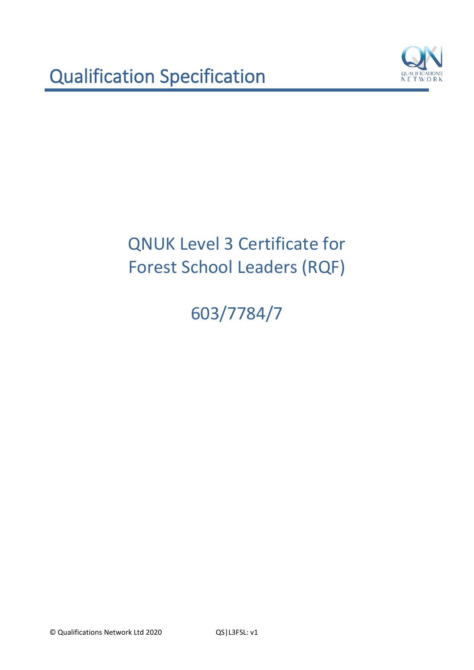

603/7784/7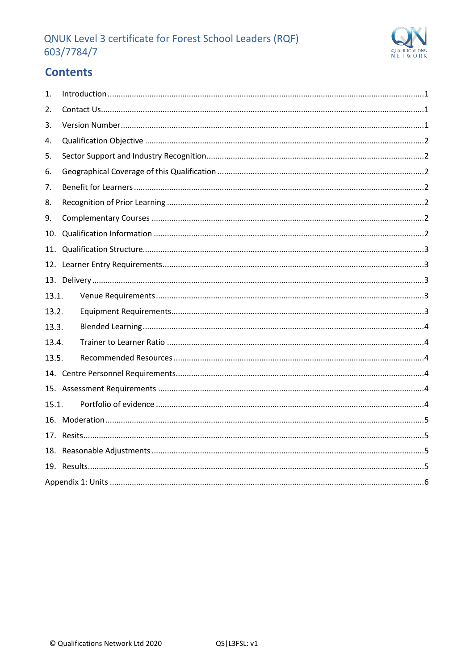

# **Contents**

| 1.    |  |
|-------|--|
| 2.    |  |
| 3.    |  |
| 4.    |  |
| 5.    |  |
| 6.    |  |
| 7.    |  |
| 8.    |  |
| 9.    |  |
| 10.   |  |
| 11.   |  |
|       |  |
|       |  |
| 13.1. |  |
| 13.2. |  |
| 13.3. |  |
| 13.4. |  |
| 13.5. |  |
|       |  |
|       |  |
| 15.1. |  |
|       |  |
|       |  |
|       |  |
|       |  |
|       |  |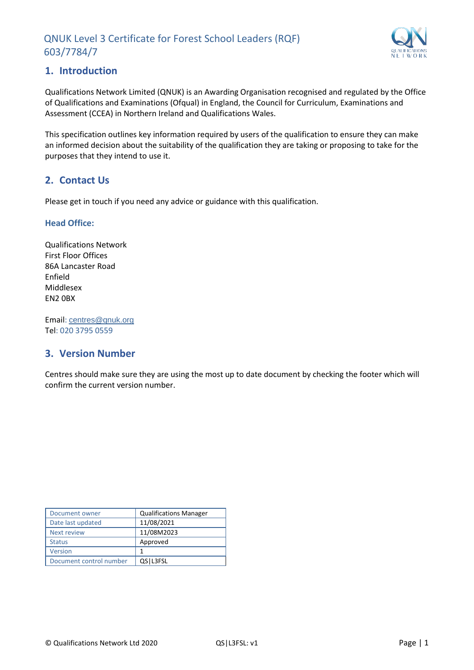

## <span id="page-2-0"></span>**1. Introduction**

Qualifications Network Limited (QNUK) is an Awarding Organisation recognised and regulated by the Office of Qualifications and Examinations (Ofqual) in England, the Council for Curriculum, Examinations and Assessment (CCEA) in Northern Ireland and Qualifications Wales.

This specification outlines key information required by users of the qualification to ensure they can make an informed decision about the suitability of the qualification they are taking or proposing to take for the purposes that they intend to use it.

## <span id="page-2-1"></span>**2. Contact Us**

Please get in touch if you need any advice or guidance with this qualification.

#### **Head Office:**

Qualifications Network First Floor Offices 86A Lancaster Road Enfield Middlesex EN2 0BX

Email: [centres@qnuk.org](mailto:CentreSupport@Qualifications-Network.co.uk) Tel: 020 3795 0559

## <span id="page-2-2"></span>**3. Version Number**

Centres should make sure they are using the most up to date document by checking the footer which will confirm the current version number.

| Document owner          | <b>Qualifications Manager</b> |
|-------------------------|-------------------------------|
| Date last updated       | 11/08/2021                    |
| <b>Next review</b>      | 11/08M2023                    |
| <b>Status</b>           | Approved                      |
| <b>Version</b>          | 1                             |
| Document control number | QS   L3FSL                    |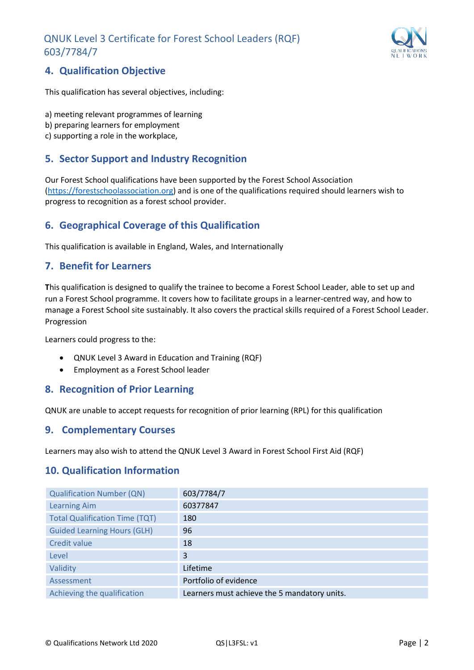

## <span id="page-3-0"></span>**4. Qualification Objective**

This qualification has several objectives, including:

- a) meeting relevant programmes of learning
- b) preparing learners for employment
- c) supporting a role in the workplace,

## <span id="page-3-1"></span>**5. Sector Support and Industry Recognition**

Our Forest School qualifications have been supported by the Forest School Association [\(https://forestschoolassociation.org\)](https://forestschoolassociation.org/) and is one of the qualifications required should learners wish to progress to recognition as a forest school provider.

## <span id="page-3-2"></span>**6. Geographical Coverage of this Qualification**

This qualification is available in England, Wales, and Internationally

## <span id="page-3-3"></span>**7. Benefit for Learners**

**T**his qualification is designed to qualify the trainee to become a Forest School Leader, able to set up and run a Forest School programme. It covers how to facilitate groups in a learner-centred way, and how to manage a Forest School site sustainably. It also covers the practical skills required of a Forest School Leader. Progression

Learners could progress to the:

- QNUK Level 3 Award in Education and Training (RQF)
- Employment as a Forest School leader

## <span id="page-3-4"></span>**8. Recognition of Prior Learning**

QNUK are unable to accept requests for recognition of prior learning (RPL) for this qualification

#### <span id="page-3-5"></span>**9. Complementary Courses**

Learners may also wish to attend the QNUK Level 3 Award in Forest School First Aid (RQF)

## <span id="page-3-6"></span>**10. Qualification Information**

| <b>Qualification Number (QN)</b>      | 603/7784/7                                   |
|---------------------------------------|----------------------------------------------|
| <b>Learning Aim</b>                   | 60377847                                     |
| <b>Total Qualification Time (TQT)</b> | 180                                          |
| <b>Guided Learning Hours (GLH)</b>    | 96                                           |
| Credit value                          | 18                                           |
| Level                                 | 3                                            |
| Validity                              | Lifetime                                     |
| Assessment                            | Portfolio of evidence                        |
| Achieving the qualification           | Learners must achieve the 5 mandatory units. |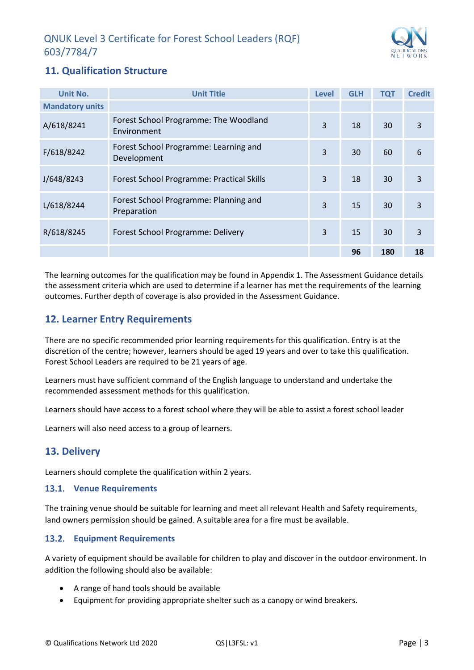

## <span id="page-4-0"></span>**11. Qualification Structure**

| Unit No.               | <b>Unit Title</b>                                    | Level | <b>GLH</b> | <b>TQT</b> | <b>Credit</b> |
|------------------------|------------------------------------------------------|-------|------------|------------|---------------|
| <b>Mandatory units</b> |                                                      |       |            |            |               |
| A/618/8241             | Forest School Programme: The Woodland<br>Environment | 3     | 18         | 30         | 3             |
| F/618/8242             | Forest School Programme: Learning and<br>Development | 3     | 30         | 60         | 6             |
| J/648/8243             | Forest School Programme: Practical Skills            | 3     | 18         | 30         | 3             |
| L/618/8244             | Forest School Programme: Planning and<br>Preparation | 3     | 15         | 30         | 3             |
| R/618/8245             | Forest School Programme: Delivery                    | 3     | 15         | 30         | 3             |
|                        |                                                      |       | 96         | 180        | 18            |

The learning outcomes for the qualification may be found in Appendix 1. The Assessment Guidance details the assessment criteria which are used to determine if a learner has met the requirements of the learning outcomes. Further depth of coverage is also provided in the Assessment Guidance.

## <span id="page-4-1"></span>**12. Learner Entry Requirements**

There are no specific recommended prior learning requirements for this qualification. Entry is at the discretion of the centre; however, learners should be aged 19 years and over to take this qualification. Forest School Leaders are required to be 21 years of age.

Learners must have sufficient command of the English language to understand and undertake the recommended assessment methods for this qualification.

Learners should have access to a forest school where they will be able to assist a forest school leader

Learners will also need access to a group of learners.

## <span id="page-4-2"></span>**13. Delivery**

Learners should complete the qualification within 2 years.

#### <span id="page-4-3"></span>**Venue Requirements**

The training venue should be suitable for learning and meet all relevant Health and Safety requirements, land owners permission should be gained. A suitable area for a fire must be available.

#### <span id="page-4-4"></span>**Equipment Requirements**

A variety of equipment should be available for children to play and discover in the outdoor environment. In addition the following should also be available:

- A range of hand tools should be available
- Equipment for providing appropriate shelter such as a canopy or wind breakers.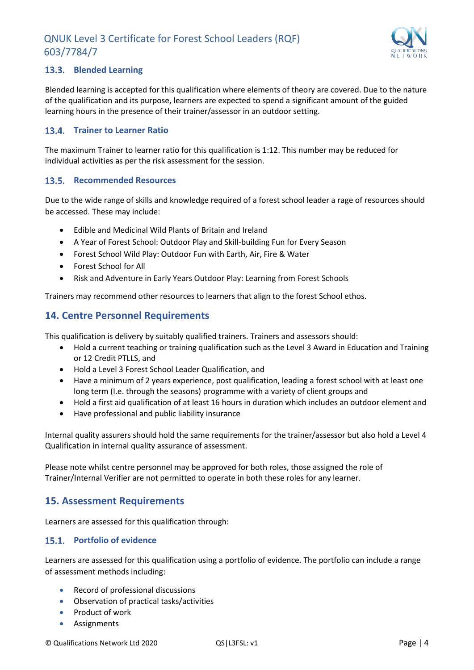

#### <span id="page-5-0"></span>**Blended Learning**

Blended learning is accepted for this qualification where elements of theory are covered. Due to the nature of the qualification and its purpose, learners are expected to spend a significant amount of the guided learning hours in the presence of their trainer/assessor in an outdoor setting.

#### <span id="page-5-1"></span>**Trainer to Learner Ratio**

The maximum Trainer to learner ratio for this qualification is 1:12. This number may be reduced for individual activities as per the risk assessment for the session.

#### <span id="page-5-2"></span>13.5. Recommended Resources

Due to the wide range of skills and knowledge required of a forest school leader a rage of resources should be accessed. These may include:

- Edible and Medicinal Wild Plants of Britain and Ireland
- A Year of Forest School: Outdoor Play and Skill-building Fun for Every Season
- Forest School Wild Play: Outdoor Fun with Earth, Air, Fire & Water
- Forest School for All
- Risk and Adventure in Early Years Outdoor Play: Learning from Forest Schools

Trainers may recommend other resources to learners that align to the forest School ethos.

## <span id="page-5-3"></span>**14. Centre Personnel Requirements**

This qualification is delivery by suitably qualified trainers. Trainers and assessors should:

- Hold a current teaching or training qualification such as the Level 3 Award in Education and Training or 12 Credit PTLLS, and
- Hold a Level 3 Forest School Leader Qualification, and
- Have a minimum of 2 years experience, post qualification, leading a forest school with at least one long term (I.e. through the seasons) programme with a variety of client groups and
- Hold a first aid qualification of at least 16 hours in duration which includes an outdoor element and
- Have professional and public liability insurance

Internal quality assurers should hold the same requirements for the trainer/assessor but also hold a Level 4 Qualification in internal quality assurance of assessment.

Please note whilst centre personnel may be approved for both roles, those assigned the role of Trainer/Internal Verifier are not permitted to operate in both these roles for any learner.

## <span id="page-5-4"></span>**15. Assessment Requirements**

Learners are assessed for this qualification through:

#### <span id="page-5-5"></span>15.1. Portfolio of evidence

Learners are assessed for this qualification using a portfolio of evidence. The portfolio can include a range of assessment methods including:

- Record of professional discussions
- Observation of practical tasks/activities
- Product of work
- Assignments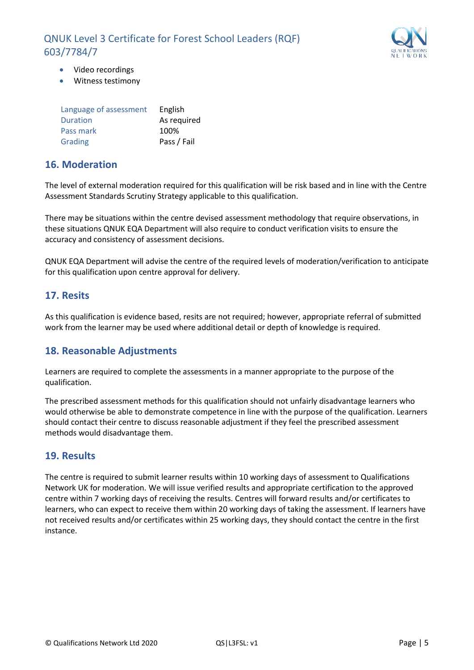

- Video recordings
- Witness testimony

| Language of assessment | English     |
|------------------------|-------------|
| <b>Duration</b>        | As required |
| Pass mark              | 100%        |
| Grading                | Pass / Fail |

## <span id="page-6-0"></span>**16. Moderation**

The level of external moderation required for this qualification will be risk based and in line with the Centre Assessment Standards Scrutiny Strategy applicable to this qualification.

There may be situations within the centre devised assessment methodology that require observations, in these situations QNUK EQA Department will also require to conduct verification visits to ensure the accuracy and consistency of assessment decisions.

QNUK EQA Department will advise the centre of the required levels of moderation/verification to anticipate for this qualification upon centre approval for delivery.

## <span id="page-6-1"></span>**17. Resits**

As this qualification is evidence based, resits are not required; however, appropriate referral of submitted work from the learner may be used where additional detail or depth of knowledge is required.

## <span id="page-6-2"></span>**18. Reasonable Adjustments**

Learners are required to complete the assessments in a manner appropriate to the purpose of the qualification.

The prescribed assessment methods for this qualification should not unfairly disadvantage learners who would otherwise be able to demonstrate competence in line with the purpose of the qualification. Learners should contact their centre to discuss reasonable adjustment if they feel the prescribed assessment methods would disadvantage them.

## <span id="page-6-3"></span>**19. Results**

The centre is required to submit learner results within 10 working days of assessment to Qualifications Network UK for moderation. We will issue verified results and appropriate certification to the approved centre within 7 working days of receiving the results. Centres will forward results and/or certificates to learners, who can expect to receive them within 20 working days of taking the assessment. If learners have not received results and/or certificates within 25 working days, they should contact the centre in the first instance.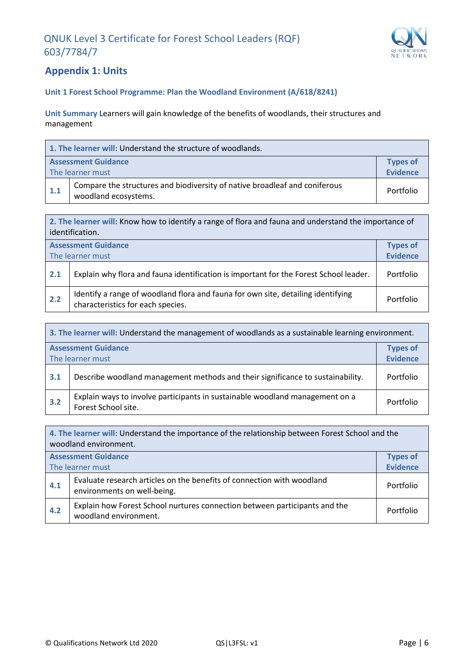

## <span id="page-7-0"></span>**Appendix 1: Units**

#### **Unit 1 Forest School Programme: Plan the Woodland Environment (A/618/8241)**

**Unit Summary** Learners will gain knowledge of the benefits of woodlands, their structures and management

| 1. The learner will: Understand the structure of woodlands. |                                                                                                    |                                    |  |
|-------------------------------------------------------------|----------------------------------------------------------------------------------------------------|------------------------------------|--|
|                                                             | <b>Assessment Guidance</b><br>The learner must                                                     | <b>Types of</b><br><b>Evidence</b> |  |
| 1.1                                                         | Compare the structures and biodiversity of native broadleaf and coniferous<br>woodland ecosystems. | Portfolio                          |  |

**2. The learner will:** Know how to identify a range of flora and fauna and understand the importance of identification. **Assessment Guidance** The learner must **Types of Evidence 2.1** Explain why flora and fauna identification is important for the Forest School leader. Portfolio **2.2 Identify a range of woodland flora and fauna for own site, detailing identifying** characteristics for each species.<br>
example of the characteristics for each species.

| 3. The learner will: Understand the management of woodlands as a sustainable learning environment. |                                                                                                     |           |  |  |
|----------------------------------------------------------------------------------------------------|-----------------------------------------------------------------------------------------------------|-----------|--|--|
|                                                                                                    | <b>Assessment Guidance</b><br><b>Types of</b><br><b>Evidence</b>                                    |           |  |  |
| The learner must                                                                                   |                                                                                                     |           |  |  |
| 3.1                                                                                                | Describe woodland management methods and their significance to sustainability.                      | Portfolio |  |  |
| 3.2                                                                                                | Explain ways to involve participants in sustainable woodland management on a<br>Forest School site. | Portfolio |  |  |

**4. The learner will:** Understand the importance of the relationship between Forest School and the woodland environment. **Assessment Guidance** The learner must **Types of Evidence 4.1** Evaluate research articles on the benefits of connection with woodland environments on well-being. Portfolio **4.2** Explain how Forest School nurtures connection between participants and the **Portfolio** Portfolio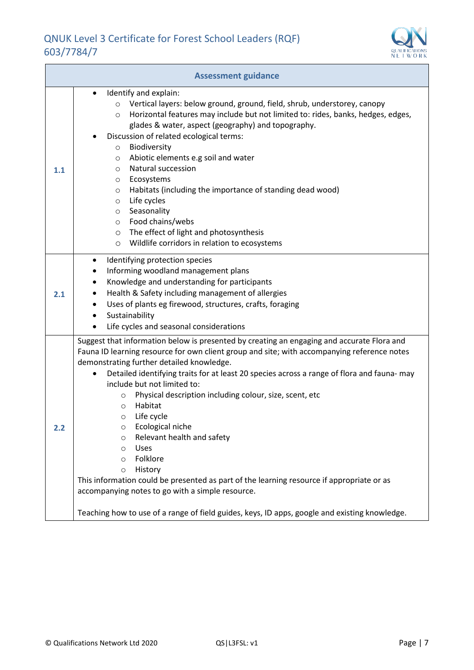

| <b>Assessment guidance</b> |                                                                                                                                                                                                                                                                                                                                                                                                                                                                                                                                                                                                                                                                                                                                                                                                                                                                                |  |  |  |
|----------------------------|--------------------------------------------------------------------------------------------------------------------------------------------------------------------------------------------------------------------------------------------------------------------------------------------------------------------------------------------------------------------------------------------------------------------------------------------------------------------------------------------------------------------------------------------------------------------------------------------------------------------------------------------------------------------------------------------------------------------------------------------------------------------------------------------------------------------------------------------------------------------------------|--|--|--|
| 1.1                        | Identify and explain:<br>Vertical layers: below ground, ground, field, shrub, understorey, canopy<br>$\circ$<br>Horizontal features may include but not limited to: rides, banks, hedges, edges,<br>$\circ$<br>glades & water, aspect (geography) and topography.<br>Discussion of related ecological terms:<br>Biodiversity<br>$\circ$<br>Abiotic elements e.g soil and water<br>$\circ$<br>Natural succession<br>$\circ$<br>Ecosystems<br>$\circ$<br>Habitats (including the importance of standing dead wood)<br>$\circ$<br>Life cycles<br>$\circ$<br>Seasonality<br>$\circ$<br>Food chains/webs<br>$\circ$<br>The effect of light and photosynthesis<br>$\circ$<br>Wildlife corridors in relation to ecosystems<br>$\circ$                                                                                                                                                 |  |  |  |
| 2.1                        | Identifying protection species<br>$\bullet$<br>Informing woodland management plans<br>Knowledge and understanding for participants<br>Health & Safety including management of allergies<br>Uses of plants eg firewood, structures, crafts, foraging<br>Sustainability<br>Life cycles and seasonal considerations                                                                                                                                                                                                                                                                                                                                                                                                                                                                                                                                                               |  |  |  |
| 2.2                        | Suggest that information below is presented by creating an engaging and accurate Flora and<br>Fauna ID learning resource for own client group and site; with accompanying reference notes<br>demonstrating further detailed knowledge.<br>Detailed identifying traits for at least 20 species across a range of flora and fauna- may<br>$\bullet$<br>include but not limited to:<br>Physical description including colour, size, scent, etc<br>$\circ$<br>Habitat<br>$\circ$<br>Life cycle<br>$\circ$<br>Ecological niche<br>Relevant health and safety<br>O<br>Uses<br>$\circ$<br>Folklore<br>$\circ$<br>History<br>$\circ$<br>This information could be presented as part of the learning resource if appropriate or as<br>accompanying notes to go with a simple resource.<br>Teaching how to use of a range of field guides, keys, ID apps, google and existing knowledge. |  |  |  |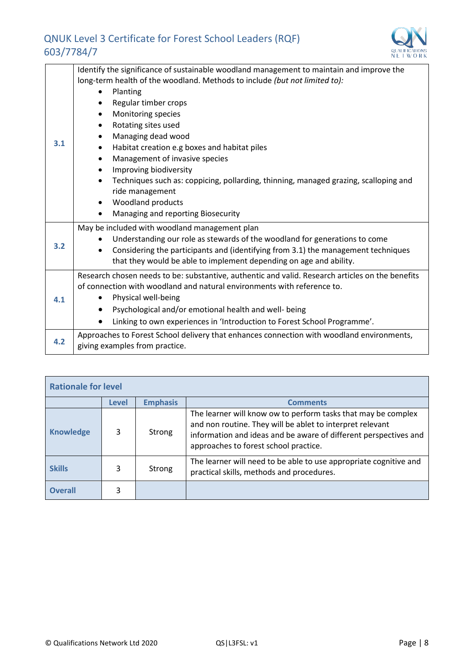

|     | Identify the significance of sustainable woodland management to maintain and improve the         |
|-----|--------------------------------------------------------------------------------------------------|
|     | long-term health of the woodland. Methods to include (but not limited to):                       |
|     | Planting                                                                                         |
|     | Regular timber crops                                                                             |
|     | Monitoring species                                                                               |
|     | Rotating sites used                                                                              |
|     | Managing dead wood                                                                               |
| 3.1 | Habitat creation e.g boxes and habitat piles                                                     |
|     | Management of invasive species                                                                   |
|     | Improving biodiversity                                                                           |
|     | Techniques such as: coppicing, pollarding, thinning, managed grazing, scalloping and             |
|     | ride management                                                                                  |
|     | Woodland products                                                                                |
|     | Managing and reporting Biosecurity                                                               |
|     | May be included with woodland management plan                                                    |
|     | Understanding our role as stewards of the woodland for generations to come                       |
| 3.2 | Considering the participants and (identifying from 3.1) the management techniques                |
|     | that they would be able to implement depending on age and ability.                               |
|     | Research chosen needs to be: substantive, authentic and valid. Research articles on the benefits |
|     | of connection with woodland and natural environments with reference to.                          |
| 4.1 | Physical well-being                                                                              |
|     | Psychological and/or emotional health and well- being                                            |
|     | Linking to own experiences in 'Introduction to Forest School Programme'.                         |
|     | Approaches to Forest School delivery that enhances connection with woodland environments,        |
| 4.2 | giving examples from practice.                                                                   |

| <b>Rationale for level</b> |              |                 |                                                                                                                                                                                                                                         |  |  |
|----------------------------|--------------|-----------------|-----------------------------------------------------------------------------------------------------------------------------------------------------------------------------------------------------------------------------------------|--|--|
|                            | <b>Level</b> | <b>Emphasis</b> | <b>Comments</b>                                                                                                                                                                                                                         |  |  |
| <b>Knowledge</b>           | 3            | Strong          | The learner will know ow to perform tasks that may be complex<br>and non routine. They will be ablet to interpret relevant<br>information and ideas and be aware of different perspectives and<br>approaches to forest school practice. |  |  |
| <b>Skills</b>              | 3            | Strong          | The learner will need to be able to use appropriate cognitive and<br>practical skills, methods and procedures.                                                                                                                          |  |  |
| <b>Overall</b>             |              |                 |                                                                                                                                                                                                                                         |  |  |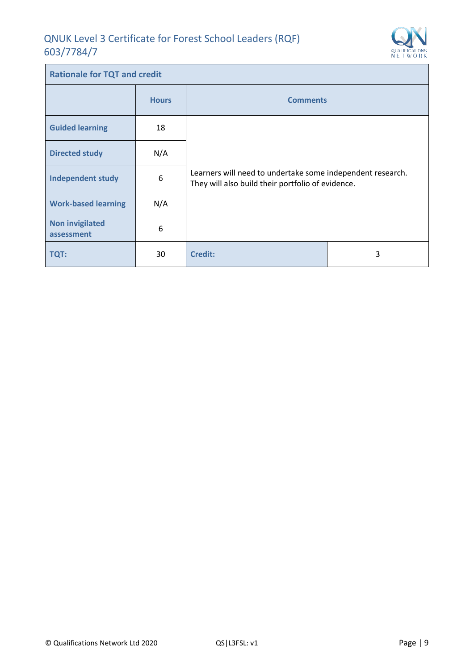Î.



| <b>Rationale for TQT and credit</b>  |              |                                                                                                                 |   |  |
|--------------------------------------|--------------|-----------------------------------------------------------------------------------------------------------------|---|--|
|                                      | <b>Hours</b> | <b>Comments</b>                                                                                                 |   |  |
| <b>Guided learning</b>               | 18           |                                                                                                                 |   |  |
| <b>Directed study</b>                | N/A          | Learners will need to undertake some independent research.<br>They will also build their portfolio of evidence. |   |  |
| <b>Independent study</b>             | 6            |                                                                                                                 |   |  |
| <b>Work-based learning</b>           | N/A          |                                                                                                                 |   |  |
| <b>Non invigilated</b><br>assessment | 6            |                                                                                                                 |   |  |
| <b>TQT:</b>                          | 30           | <b>Credit:</b>                                                                                                  | 3 |  |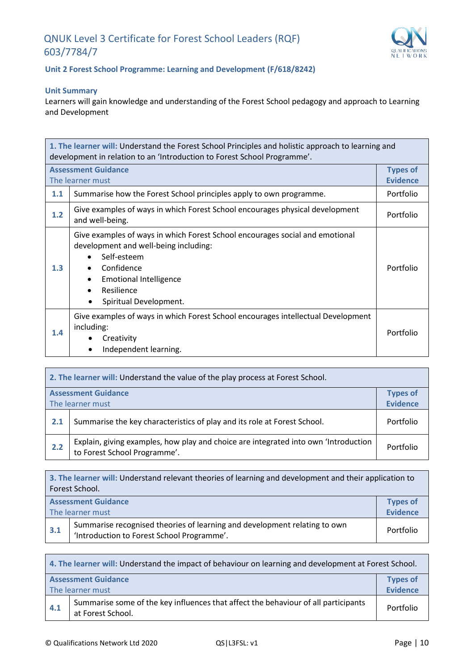

#### **Unit 2 Forest School Programme: Learning and Development (F/618/8242)**

#### **Unit Summary**

Learners will gain knowledge and understanding of the Forest School pedagogy and approach to Learning and Development

| 1. The learner will: Understand the Forest School Principles and holistic approach to learning and<br>development in relation to an 'Introduction to Forest School Programme'. |                                                                                                                                                                                                                             |                                    |  |
|--------------------------------------------------------------------------------------------------------------------------------------------------------------------------------|-----------------------------------------------------------------------------------------------------------------------------------------------------------------------------------------------------------------------------|------------------------------------|--|
|                                                                                                                                                                                | <b>Assessment Guidance</b><br>The learner must                                                                                                                                                                              | <b>Types of</b><br><b>Evidence</b> |  |
| 1.1                                                                                                                                                                            | Summarise how the Forest School principles apply to own programme.                                                                                                                                                          | Portfolio                          |  |
| 1.2                                                                                                                                                                            | Give examples of ways in which Forest School encourages physical development<br>and well-being.                                                                                                                             | Portfolio                          |  |
| 1.3                                                                                                                                                                            | Give examples of ways in which Forest School encourages social and emotional<br>development and well-being including:<br>Self-esteem<br>Confidence<br><b>Emotional Intelligence</b><br>Resilience<br>Spiritual Development. | Portfolio                          |  |
| 1.4                                                                                                                                                                            | Give examples of ways in which Forest School encourages intellectual Development<br>including:<br>Creativity<br>Independent learning.                                                                                       | Portfolio                          |  |

| 2. The learner will: Understand the value of the play process at Forest School. |                                                                                                                     |                 |
|---------------------------------------------------------------------------------|---------------------------------------------------------------------------------------------------------------------|-----------------|
| <b>Assessment Guidance</b>                                                      |                                                                                                                     | <b>Types of</b> |
| The learner must                                                                |                                                                                                                     | <b>Evidence</b> |
| 2.1                                                                             | Summarise the key characteristics of play and its role at Forest School.                                            | Portfolio       |
| 2.2                                                                             | Explain, giving examples, how play and choice are integrated into own 'Introduction<br>to Forest School Programme'. | Portfolio       |

| 3. The learner will: Understand relevant theories of learning and development and their application to<br>Forest School.       |                                                                                      |           |  |
|--------------------------------------------------------------------------------------------------------------------------------|--------------------------------------------------------------------------------------|-----------|--|
|                                                                                                                                | <b>Assessment Guidance</b><br><b>Types of</b><br><b>Evidence</b><br>The learner must |           |  |
| Summarise recognised theories of learning and development relating to own<br>3.1<br>'Introduction to Forest School Programme'. |                                                                                      | Portfolio |  |

| 4. The learner will: Understand the impact of behaviour on learning and development at Forest School.          |                                               |                 |  |
|----------------------------------------------------------------------------------------------------------------|-----------------------------------------------|-----------------|--|
|                                                                                                                | <b>Assessment Guidance</b><br><b>Types of</b> |                 |  |
| The learner must                                                                                               |                                               | <b>Evidence</b> |  |
| Summarise some of the key influences that affect the behaviour of all participants<br>4.1<br>at Forest School. |                                               | Portfolio       |  |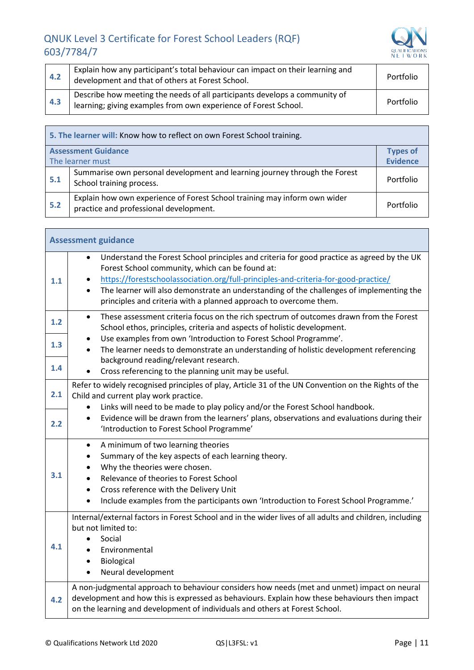

 $\overline{\phantom{a}}$ 

| 4.2 | Explain how any participant's total behaviour can impact on their learning and<br>development and that of others at Forest School.            | Portfolio |
|-----|-----------------------------------------------------------------------------------------------------------------------------------------------|-----------|
| 4.3 | Describe how meeting the needs of all participants develops a community of<br>learning; giving examples from own experience of Forest School. | Portfolio |

| 5. The learner will: Know how to reflect on own Forest School training. |                                                                                                                     |                 |
|-------------------------------------------------------------------------|---------------------------------------------------------------------------------------------------------------------|-----------------|
| <b>Assessment Guidance</b>                                              |                                                                                                                     | <b>Types of</b> |
| The learner must                                                        |                                                                                                                     | <b>Evidence</b> |
| 5.1                                                                     | Summarise own personal development and learning journey through the Forest<br>School training process.              | Portfolio       |
| 5.2                                                                     | Explain how own experience of Forest School training may inform own wider<br>practice and professional development. | Portfolio       |

| <b>Assessment guidance</b> |                                                                                                                                                                                                                                                                                                                                                                                                                    |  |
|----------------------------|--------------------------------------------------------------------------------------------------------------------------------------------------------------------------------------------------------------------------------------------------------------------------------------------------------------------------------------------------------------------------------------------------------------------|--|
| 1.1                        | Understand the Forest School principles and criteria for good practice as agreed by the UK<br>$\bullet$<br>Forest School community, which can be found at:<br>https://forestschoolassociation.org/full-principles-and-criteria-for-good-practice/<br>The learner will also demonstrate an understanding of the challenges of implementing the<br>principles and criteria with a planned approach to overcome them. |  |
| 1.2                        | These assessment criteria focus on the rich spectrum of outcomes drawn from the Forest<br>$\bullet$<br>School ethos, principles, criteria and aspects of holistic development.                                                                                                                                                                                                                                     |  |
| 1.3                        | Use examples from own 'Introduction to Forest School Programme'.<br>The learner needs to demonstrate an understanding of holistic development referencing                                                                                                                                                                                                                                                          |  |
| $1.4$                      | background reading/relevant research.<br>Cross referencing to the planning unit may be useful.                                                                                                                                                                                                                                                                                                                     |  |
| 2.1                        | Refer to widely recognised principles of play, Article 31 of the UN Convention on the Rights of the<br>Child and current play work practice.<br>Links will need to be made to play policy and/or the Forest School handbook.                                                                                                                                                                                       |  |
| 2.2                        | Evidence will be drawn from the learners' plans, observations and evaluations during their<br>'Introduction to Forest School Programme'                                                                                                                                                                                                                                                                            |  |
| 3.1                        | A minimum of two learning theories<br>$\bullet$<br>Summary of the key aspects of each learning theory.<br>Why the theories were chosen.<br>Relevance of theories to Forest School<br>Cross reference with the Delivery Unit<br>$\bullet$<br>Include examples from the participants own 'Introduction to Forest School Programme.'                                                                                  |  |
| 4.1                        | Internal/external factors in Forest School and in the wider lives of all adults and children, including<br>but not limited to:<br>Social<br>Environmental<br>Biological<br>Neural development                                                                                                                                                                                                                      |  |
| 4.2                        | A non-judgmental approach to behaviour considers how needs (met and unmet) impact on neural<br>development and how this is expressed as behaviours. Explain how these behaviours then impact<br>on the learning and development of individuals and others at Forest School.                                                                                                                                        |  |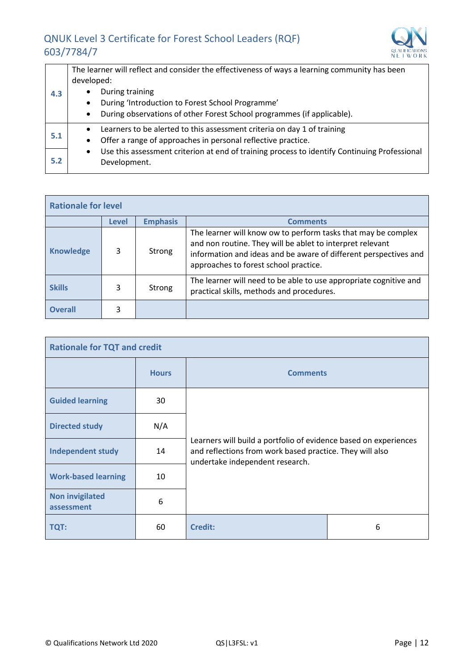

| The learner will reflect and consider the effectiveness of ways a learning community has been             |
|-----------------------------------------------------------------------------------------------------------|
| developed:                                                                                                |
| During training                                                                                           |
| During 'Introduction to Forest School Programme'<br>$\bullet$                                             |
| During observations of other Forest School programmes (if applicable).<br>$\bullet$                       |
| Learners to be alerted to this assessment criteria on day 1 of training<br>$\bullet$                      |
| Offer a range of approaches in personal reflective practice.<br>$\bullet$                                 |
| Use this assessment criterion at end of training process to identify Continuing Professional<br>$\bullet$ |
| Development.                                                                                              |
|                                                                                                           |

| <b>Rationale for level</b> |                                                    |        |                                                                                                                                                                                                                                         |  |
|----------------------------|----------------------------------------------------|--------|-----------------------------------------------------------------------------------------------------------------------------------------------------------------------------------------------------------------------------------------|--|
|                            | <b>Emphasis</b><br><b>Level</b><br><b>Comments</b> |        |                                                                                                                                                                                                                                         |  |
| <b>Knowledge</b>           | 3                                                  | Strong | The learner will know ow to perform tasks that may be complex<br>and non routine. They will be ablet to interpret relevant<br>information and ideas and be aware of different perspectives and<br>approaches to forest school practice. |  |
| <b>Skills</b>              | 3                                                  | Strong | The learner will need to be able to use appropriate cognitive and<br>practical skills, methods and procedures.                                                                                                                          |  |
| <b>Overall</b>             |                                                    |        |                                                                                                                                                                                                                                         |  |

| <b>Rationale for TQT and credit</b>  |              |                                                                                                                                                                 |   |  |
|--------------------------------------|--------------|-----------------------------------------------------------------------------------------------------------------------------------------------------------------|---|--|
|                                      | <b>Hours</b> | <b>Comments</b>                                                                                                                                                 |   |  |
| <b>Guided learning</b>               | 30           |                                                                                                                                                                 |   |  |
| <b>Directed study</b>                | N/A          | Learners will build a portfolio of evidence based on experiences<br>and reflections from work based practice. They will also<br>undertake independent research. |   |  |
| <b>Independent study</b>             | 14           |                                                                                                                                                                 |   |  |
| <b>Work-based learning</b>           | 10           |                                                                                                                                                                 |   |  |
| <b>Non invigilated</b><br>assessment | 6            |                                                                                                                                                                 |   |  |
| TQT:                                 | 60           | <b>Credit:</b>                                                                                                                                                  | 6 |  |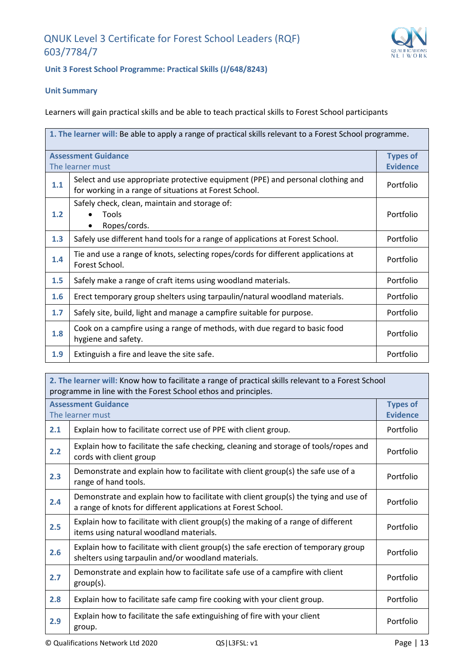

#### **Unit 3 Forest School Programme: Practical Skills (J/648/8243)**

#### **Unit Summary**

Learners will gain practical skills and be able to teach practical skills to Forest School participants

| 1. The learner will: Be able to apply a range of practical skills relevant to a Forest School programme. |                                                                                                                                           |                 |
|----------------------------------------------------------------------------------------------------------|-------------------------------------------------------------------------------------------------------------------------------------------|-----------------|
|                                                                                                          | <b>Assessment Guidance</b>                                                                                                                | <b>Types of</b> |
|                                                                                                          | The learner must                                                                                                                          | <b>Evidence</b> |
| 1.1                                                                                                      | Select and use appropriate protective equipment (PPE) and personal clothing and<br>for working in a range of situations at Forest School. | Portfolio       |
| 1.2                                                                                                      | Safely check, clean, maintain and storage of:<br>Tools<br>Ropes/cords.                                                                    | Portfolio       |
| 1.3                                                                                                      | Safely use different hand tools for a range of applications at Forest School.                                                             | Portfolio       |
| 1.4                                                                                                      | Tie and use a range of knots, selecting ropes/cords for different applications at<br>Forest School.                                       | Portfolio       |
| 1.5                                                                                                      | Safely make a range of craft items using woodland materials.                                                                              | Portfolio       |
| 1.6                                                                                                      | Erect temporary group shelters using tarpaulin/natural woodland materials.                                                                | Portfolio       |
| 1.7                                                                                                      | Safely site, build, light and manage a campfire suitable for purpose.                                                                     | Portfolio       |
| 1.8                                                                                                      | Cook on a campfire using a range of methods, with due regard to basic food<br>hygiene and safety.                                         | Portfolio       |
| 1.9                                                                                                      | Extinguish a fire and leave the site safe.                                                                                                | Portfolio       |

| 2. The learner will: Know how to facilitate a range of practical skills relevant to a Forest School<br>programme in line with the Forest School ethos and principles. |                                                                                                                                                      |                 |  |
|-----------------------------------------------------------------------------------------------------------------------------------------------------------------------|------------------------------------------------------------------------------------------------------------------------------------------------------|-----------------|--|
|                                                                                                                                                                       | <b>Types of</b><br><b>Assessment Guidance</b>                                                                                                        |                 |  |
|                                                                                                                                                                       | The learner must                                                                                                                                     | <b>Evidence</b> |  |
| 2.1                                                                                                                                                                   | Explain how to facilitate correct use of PPE with client group.                                                                                      | Portfolio       |  |
| 2.2                                                                                                                                                                   | Explain how to facilitate the safe checking, cleaning and storage of tools/ropes and<br>cords with client group                                      | Portfolio       |  |
| 2.3                                                                                                                                                                   | Demonstrate and explain how to facilitate with client group(s) the safe use of a<br>range of hand tools.                                             | Portfolio       |  |
| 2.4                                                                                                                                                                   | Demonstrate and explain how to facilitate with client group(s) the tying and use of<br>a range of knots for different applications at Forest School. | Portfolio       |  |
| 2.5                                                                                                                                                                   | Explain how to facilitate with client group(s) the making of a range of different<br>items using natural woodland materials.                         | Portfolio       |  |
| 2.6                                                                                                                                                                   | Explain how to facilitate with client group(s) the safe erection of temporary group<br>shelters using tarpaulin and/or woodland materials.           | Portfolio       |  |
| 2.7                                                                                                                                                                   | Demonstrate and explain how to facilitate safe use of a campfire with client<br>$group(s)$ .                                                         | Portfolio       |  |
| 2.8                                                                                                                                                                   | Explain how to facilitate safe camp fire cooking with your client group.                                                                             | Portfolio       |  |
| 2.9                                                                                                                                                                   | Explain how to facilitate the safe extinguishing of fire with your client<br>group.                                                                  | Portfolio       |  |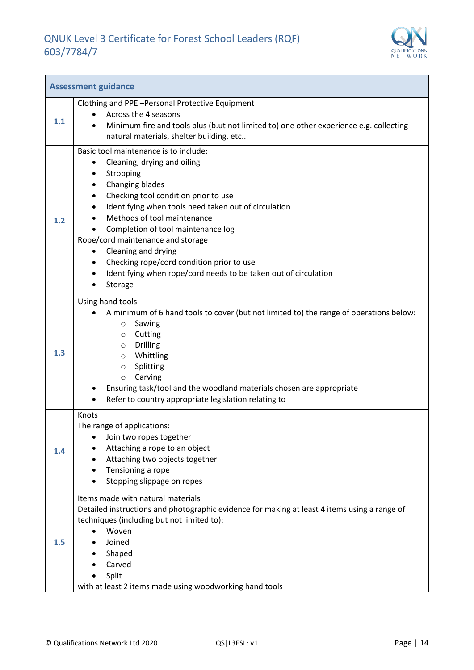

| <b>Assessment guidance</b> |                                                                                                                                                                                                                                                                                                                                                                                                                                                                                                                             |  |
|----------------------------|-----------------------------------------------------------------------------------------------------------------------------------------------------------------------------------------------------------------------------------------------------------------------------------------------------------------------------------------------------------------------------------------------------------------------------------------------------------------------------------------------------------------------------|--|
| 1.1                        | Clothing and PPE-Personal Protective Equipment<br>Across the 4 seasons<br>Minimum fire and tools plus (b.ut not limited to) one other experience e.g. collecting<br>$\bullet$<br>natural materials, shelter building, etc                                                                                                                                                                                                                                                                                                   |  |
| 1.2                        | Basic tool maintenance is to include:<br>Cleaning, drying and oiling<br>$\bullet$<br>Stropping<br>٠<br>Changing blades<br>٠<br>Checking tool condition prior to use<br>٠<br>Identifying when tools need taken out of circulation<br>$\bullet$<br>Methods of tool maintenance<br>Completion of tool maintenance log<br>Rope/cord maintenance and storage<br>Cleaning and drying<br>Checking rope/cord condition prior to use<br>٠<br>Identifying when rope/cord needs to be taken out of circulation<br>$\bullet$<br>Storage |  |
| 1.3                        | Using hand tools<br>A minimum of 6 hand tools to cover (but not limited to) the range of operations below:<br>Sawing<br>$\circ$<br>Cutting<br>O<br><b>Drilling</b><br>$\circ$<br>Whittling<br>$\circ$<br>Splitting<br>$\circ$<br>Carving<br>$\circ$<br>Ensuring task/tool and the woodland materials chosen are appropriate<br>Refer to country appropriate legislation relating to                                                                                                                                         |  |
| 1.4                        | Knots<br>The range of applications:<br>Join two ropes together<br>Attaching a rope to an object<br>Attaching two objects together<br>Tensioning a rope<br>Stopping slippage on ropes                                                                                                                                                                                                                                                                                                                                        |  |
| 1.5                        | Items made with natural materials<br>Detailed instructions and photographic evidence for making at least 4 items using a range of<br>techniques (including but not limited to):<br>Woven<br>Joined<br>Shaped<br>Carved<br>Split<br>with at least 2 items made using woodworking hand tools                                                                                                                                                                                                                                  |  |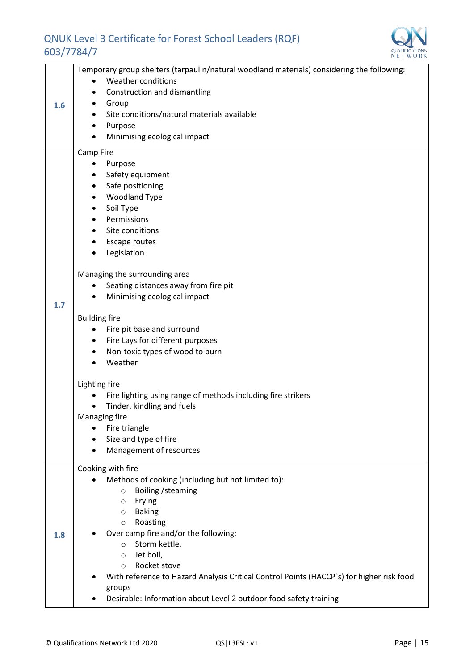

| Temporary group shelters (tarpaulin/natural woodland materials) considering the following: |                                                                                          |  |  |  |
|--------------------------------------------------------------------------------------------|------------------------------------------------------------------------------------------|--|--|--|
|                                                                                            | Weather conditions<br>$\bullet$                                                          |  |  |  |
|                                                                                            | Construction and dismantling<br>٠                                                        |  |  |  |
| 1.6                                                                                        | Group<br>٠                                                                               |  |  |  |
|                                                                                            | Site conditions/natural materials available                                              |  |  |  |
|                                                                                            | Purpose                                                                                  |  |  |  |
|                                                                                            | Minimising ecological impact                                                             |  |  |  |
|                                                                                            | Camp Fire                                                                                |  |  |  |
|                                                                                            | Purpose<br>٠                                                                             |  |  |  |
|                                                                                            | Safety equipment<br>٠                                                                    |  |  |  |
|                                                                                            | Safe positioning<br>$\bullet$                                                            |  |  |  |
|                                                                                            | <b>Woodland Type</b><br>٠                                                                |  |  |  |
|                                                                                            | Soil Type<br>٠                                                                           |  |  |  |
|                                                                                            | Permissions                                                                              |  |  |  |
|                                                                                            | Site conditions                                                                          |  |  |  |
|                                                                                            | Escape routes                                                                            |  |  |  |
|                                                                                            | Legislation                                                                              |  |  |  |
|                                                                                            | Managing the surrounding area                                                            |  |  |  |
|                                                                                            | Seating distances away from fire pit                                                     |  |  |  |
|                                                                                            | Minimising ecological impact                                                             |  |  |  |
| 1.7                                                                                        |                                                                                          |  |  |  |
|                                                                                            | <b>Building fire</b>                                                                     |  |  |  |
|                                                                                            | Fire pit base and surround                                                               |  |  |  |
|                                                                                            | Fire Lays for different purposes<br>$\bullet$                                            |  |  |  |
|                                                                                            | Non-toxic types of wood to burn<br>٠                                                     |  |  |  |
|                                                                                            | Weather                                                                                  |  |  |  |
|                                                                                            | Lighting fire                                                                            |  |  |  |
|                                                                                            | Fire lighting using range of methods including fire strikers                             |  |  |  |
|                                                                                            | Tinder, kindling and fuels                                                               |  |  |  |
|                                                                                            | Managing fire                                                                            |  |  |  |
|                                                                                            | Fire triangle                                                                            |  |  |  |
|                                                                                            | Size and type of fire                                                                    |  |  |  |
|                                                                                            | Management of resources                                                                  |  |  |  |
|                                                                                            | Cooking with fire                                                                        |  |  |  |
|                                                                                            | Methods of cooking (including but not limited to):                                       |  |  |  |
|                                                                                            | Boiling / steaming<br>$\circ$                                                            |  |  |  |
|                                                                                            | Frying<br>$\circ$                                                                        |  |  |  |
|                                                                                            | <b>Baking</b><br>$\circ$                                                                 |  |  |  |
|                                                                                            | Roasting<br>$\circ$                                                                      |  |  |  |
| 1.8                                                                                        | Over camp fire and/or the following:                                                     |  |  |  |
|                                                                                            | Storm kettle,<br>$\circ$                                                                 |  |  |  |
|                                                                                            | Jet boil,<br>$\circ$                                                                     |  |  |  |
|                                                                                            | Rocket stove<br>$\circ$                                                                  |  |  |  |
|                                                                                            | With reference to Hazard Analysis Critical Control Points (HACCP's) for higher risk food |  |  |  |
|                                                                                            | groups                                                                                   |  |  |  |
|                                                                                            | Desirable: Information about Level 2 outdoor food safety training                        |  |  |  |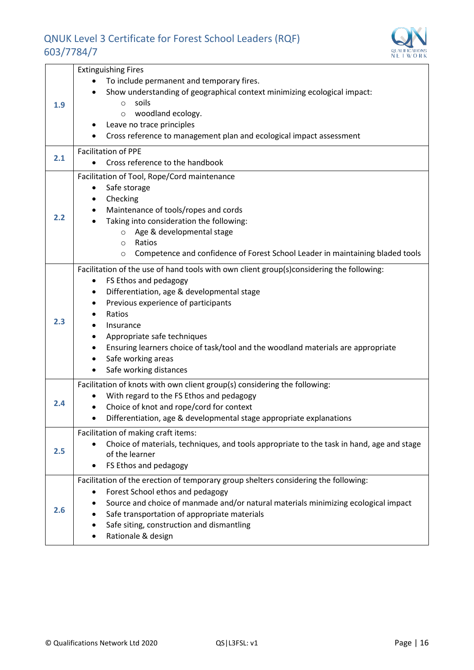

|     | <b>Extinguishing Fires</b>                                                                |
|-----|-------------------------------------------------------------------------------------------|
| 1.9 | To include permanent and temporary fires.                                                 |
|     | Show understanding of geographical context minimizing ecological impact:                  |
|     | soils<br>$\circ$                                                                          |
|     | woodland ecology.<br>$\circ$                                                              |
|     | Leave no trace principles                                                                 |
|     | Cross reference to management plan and ecological impact assessment                       |
|     | <b>Facilitation of PPE</b>                                                                |
| 2.1 | Cross reference to the handbook                                                           |
|     | Facilitation of Tool, Rope/Cord maintenance                                               |
|     | Safe storage<br>٠                                                                         |
|     | Checking<br>٠                                                                             |
|     | Maintenance of tools/ropes and cords                                                      |
| 2.2 | Taking into consideration the following:                                                  |
|     | o Age & developmental stage                                                               |
|     | Ratios<br>$\circ$                                                                         |
|     | Competence and confidence of Forest School Leader in maintaining bladed tools<br>$\circ$  |
|     | Facilitation of the use of hand tools with own client group(s)considering the following:  |
|     | FS Ethos and pedagogy<br>٠                                                                |
|     | Differentiation, age & developmental stage<br>٠                                           |
|     | Previous experience of participants<br>٠                                                  |
|     | Ratios                                                                                    |
| 2.3 | Insurance                                                                                 |
|     | Appropriate safe techniques                                                               |
|     | Ensuring learners choice of task/tool and the woodland materials are appropriate          |
|     | Safe working areas<br>٠                                                                   |
|     | Safe working distances                                                                    |
|     | Facilitation of knots with own client group(s) considering the following:                 |
| 2.4 | With regard to the FS Ethos and pedagogy                                                  |
|     | Choice of knot and rope/cord for context                                                  |
|     | Differentiation, age & developmental stage appropriate explanations                       |
| 2.5 | Facilitation of making craft items:                                                       |
|     | Choice of materials, techniques, and tools appropriate to the task in hand, age and stage |
|     | of the learner                                                                            |
|     | FS Ethos and pedagogy                                                                     |
|     | Facilitation of the erection of temporary group shelters considering the following:       |
| 2.6 | Forest School ethos and pedagogy                                                          |
|     | Source and choice of manmade and/or natural materials minimizing ecological impact        |
|     | Safe transportation of appropriate materials                                              |
|     | Safe siting, construction and dismantling                                                 |
|     | Rationale & design                                                                        |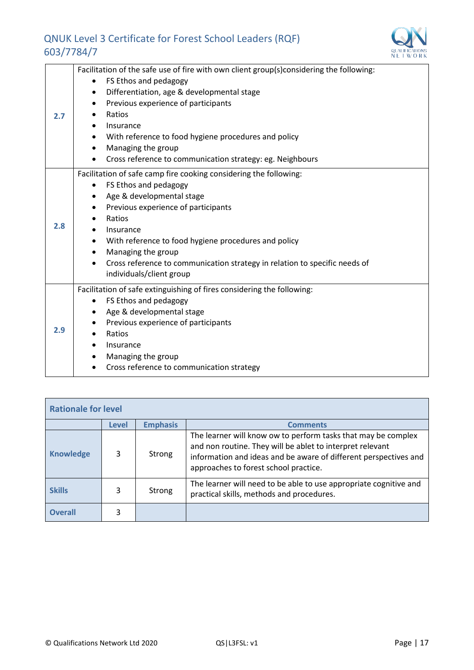

|     | Facilitation of the safe use of fire with own client group(s)considering the following: |
|-----|-----------------------------------------------------------------------------------------|
|     | FS Ethos and pedagogy                                                                   |
|     | Differentiation, age & developmental stage<br>٠                                         |
|     | Previous experience of participants<br>٠                                                |
| 2.7 | Ratios                                                                                  |
|     | Insurance                                                                               |
|     | With reference to food hygiene procedures and policy                                    |
|     | Managing the group                                                                      |
|     | Cross reference to communication strategy: eg. Neighbours                               |
|     | Facilitation of safe camp fire cooking considering the following:                       |
|     | FS Ethos and pedagogy                                                                   |
|     | Age & developmental stage<br>$\bullet$                                                  |
|     | Previous experience of participants<br>٠                                                |
|     | Ratios                                                                                  |
| 2.8 | Insurance                                                                               |
|     | With reference to food hygiene procedures and policy<br>$\bullet$                       |
|     | Managing the group<br>$\bullet$                                                         |
|     | Cross reference to communication strategy in relation to specific needs of              |
|     | individuals/client group                                                                |
|     | Facilitation of safe extinguishing of fires considering the following:                  |
|     | FS Ethos and pedagogy                                                                   |
| 2.9 | Age & developmental stage                                                               |
|     | Previous experience of participants                                                     |
|     | Ratios                                                                                  |
|     | Insurance                                                                               |
|     | Managing the group                                                                      |
|     | Cross reference to communication strategy                                               |

| <b>Rationale for level</b>                  |   |        |                                                                                                                                                                                                                                         |
|---------------------------------------------|---|--------|-----------------------------------------------------------------------------------------------------------------------------------------------------------------------------------------------------------------------------------------|
| <b>Emphasis</b><br><b>Comments</b><br>Level |   |        |                                                                                                                                                                                                                                         |
| <b>Knowledge</b>                            | 3 | Strong | The learner will know ow to perform tasks that may be complex<br>and non routine. They will be ablet to interpret relevant<br>information and ideas and be aware of different perspectives and<br>approaches to forest school practice. |
| <b>Skills</b>                               | 3 | Strong | The learner will need to be able to use appropriate cognitive and<br>practical skills, methods and procedures.                                                                                                                          |
| <b>Overall</b>                              | 3 |        |                                                                                                                                                                                                                                         |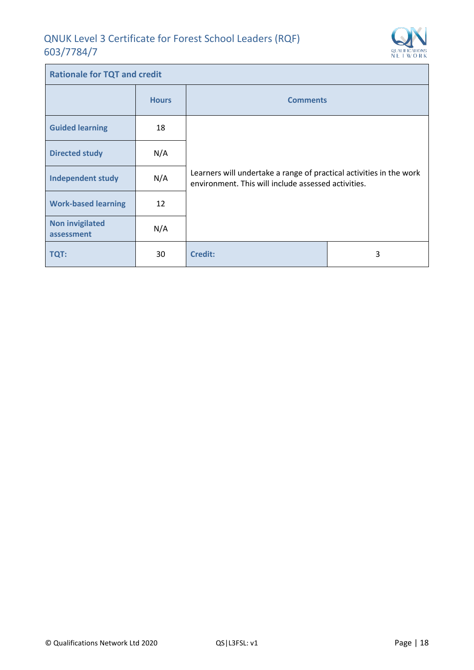$\mathbf{r}$ 



| <b>Rationale for TQT and credit</b>  |              |                                                                                                                            |   |
|--------------------------------------|--------------|----------------------------------------------------------------------------------------------------------------------------|---|
|                                      | <b>Hours</b> | <b>Comments</b>                                                                                                            |   |
| <b>Guided learning</b>               | 18           |                                                                                                                            |   |
| <b>Directed study</b>                | N/A          | Learners will undertake a range of practical activities in the work<br>environment. This will include assessed activities. |   |
| <b>Independent study</b>             | N/A          |                                                                                                                            |   |
| <b>Work-based learning</b>           | 12           |                                                                                                                            |   |
| <b>Non invigilated</b><br>assessment | N/A          |                                                                                                                            |   |
| <b>TQT:</b>                          | 30           | <b>Credit:</b>                                                                                                             | 3 |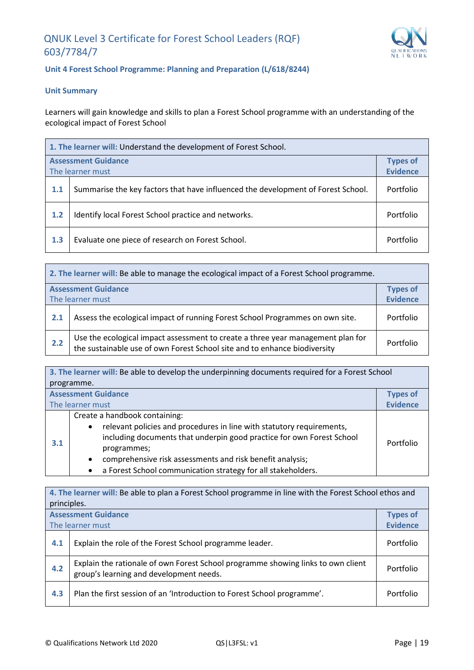

#### **Unit 4 Forest School Programme: Planning and Preparation (L/618/8244)**

#### **Unit Summary**

Learners will gain knowledge and skills to plan a Forest School programme with an understanding of the ecological impact of Forest School

| 1. The learner will: Understand the development of Forest School. |                                                                                  |                 |
|-------------------------------------------------------------------|----------------------------------------------------------------------------------|-----------------|
|                                                                   | <b>Assessment Guidance</b>                                                       | <b>Types of</b> |
|                                                                   | The learner must                                                                 | <b>Evidence</b> |
| 1.1                                                               | Summarise the key factors that have influenced the development of Forest School. | Portfolio       |
| 1.2                                                               | Identify local Forest School practice and networks.                              | Portfolio       |
| 1.3                                                               | Evaluate one piece of research on Forest School.                                 | Portfolio       |

|     | 2. The learner will: Be able to manage the ecological impact of a Forest School programme.                                                                   |                 |  |
|-----|--------------------------------------------------------------------------------------------------------------------------------------------------------------|-----------------|--|
|     | <b>Assessment Guidance</b><br><b>Types of</b>                                                                                                                |                 |  |
|     | The learner must                                                                                                                                             | <b>Evidence</b> |  |
| 2.1 | Assess the ecological impact of running Forest School Programmes on own site.                                                                                | Portfolio       |  |
| 2.2 | Use the ecological impact assessment to create a three year management plan for<br>the sustainable use of own Forest School site and to enhance biodiversity | Portfolio       |  |

| 3. The learner will: Be able to develop the underpinning documents required for a Forest School |                                                                                                                                                                                                                                                                                                                                                                    |                 |
|-------------------------------------------------------------------------------------------------|--------------------------------------------------------------------------------------------------------------------------------------------------------------------------------------------------------------------------------------------------------------------------------------------------------------------------------------------------------------------|-----------------|
|                                                                                                 | programme.                                                                                                                                                                                                                                                                                                                                                         |                 |
|                                                                                                 | <b>Assessment Guidance</b>                                                                                                                                                                                                                                                                                                                                         | <b>Types of</b> |
|                                                                                                 | The learner must                                                                                                                                                                                                                                                                                                                                                   | <b>Evidence</b> |
| 3.1                                                                                             | Create a handbook containing:<br>relevant policies and procedures in line with statutory requirements,<br>$\bullet$<br>including documents that underpin good practice for own Forest School<br>programmes;<br>comprehensive risk assessments and risk benefit analysis;<br>$\bullet$<br>a Forest School communication strategy for all stakeholders.<br>$\bullet$ | Portfolio       |

| 4. The learner will: Be able to plan a Forest School programme in line with the Forest School ethos and<br>principles. |                                                                                                                             |                 |
|------------------------------------------------------------------------------------------------------------------------|-----------------------------------------------------------------------------------------------------------------------------|-----------------|
|                                                                                                                        | <b>Assessment Guidance</b>                                                                                                  | <b>Types of</b> |
|                                                                                                                        | The learner must                                                                                                            | <b>Evidence</b> |
| 4.1                                                                                                                    | Explain the role of the Forest School programme leader.                                                                     | Portfolio       |
| 4.2                                                                                                                    | Explain the rationale of own Forest School programme showing links to own client<br>group's learning and development needs. | Portfolio       |
| 4.3                                                                                                                    | Plan the first session of an 'Introduction to Forest School programme'.                                                     | Portfolio       |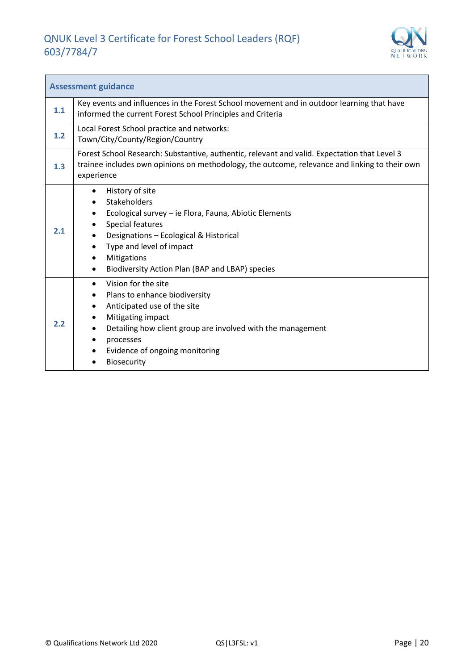

| <b>Assessment guidance</b> |                                                                                                                                                                                                                                                                                |  |  |
|----------------------------|--------------------------------------------------------------------------------------------------------------------------------------------------------------------------------------------------------------------------------------------------------------------------------|--|--|
| 1.1                        | Key events and influences in the Forest School movement and in outdoor learning that have<br>informed the current Forest School Principles and Criteria                                                                                                                        |  |  |
| 1.2                        | Local Forest School practice and networks:<br>Town/City/County/Region/Country                                                                                                                                                                                                  |  |  |
| 1.3                        | Forest School Research: Substantive, authentic, relevant and valid. Expectation that Level 3<br>trainee includes own opinions on methodology, the outcome, relevance and linking to their own<br>experience                                                                    |  |  |
| 2.1                        | History of site<br>$\bullet$<br>Stakeholders<br>Ecological survey - ie Flora, Fauna, Abiotic Elements<br>Special features<br>Designations - Ecological & Historical<br>Type and level of impact<br>Mitigations<br>$\bullet$<br>Biodiversity Action Plan (BAP and LBAP) species |  |  |
| 2.2                        | Vision for the site<br>Plans to enhance biodiversity<br>$\bullet$<br>Anticipated use of the site<br>٠<br>Mitigating impact<br>Detailing how client group are involved with the management<br>processes<br>Evidence of ongoing monitoring<br>Biosecurity                        |  |  |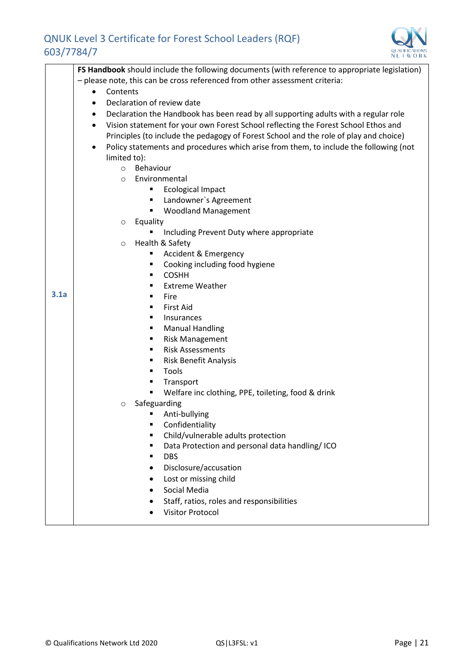

|      | FS Handbook should include the following documents (with reference to appropriate legislation)   |  |  |  |  |  |
|------|--------------------------------------------------------------------------------------------------|--|--|--|--|--|
|      | - please note, this can be cross referenced from other assessment criteria:                      |  |  |  |  |  |
|      | Contents<br>$\bullet$                                                                            |  |  |  |  |  |
|      | Declaration of review date<br>$\bullet$                                                          |  |  |  |  |  |
|      | Declaration the Handbook has been read by all supporting adults with a regular role<br>$\bullet$ |  |  |  |  |  |
|      | Vision statement for your own Forest School reflecting the Forest School Ethos and<br>$\bullet$  |  |  |  |  |  |
|      | Principles (to include the pedagogy of Forest School and the role of play and choice)            |  |  |  |  |  |
|      | Policy statements and procedures which arise from them, to include the following (not<br>٠       |  |  |  |  |  |
|      | limited to):                                                                                     |  |  |  |  |  |
|      | Behaviour<br>$\circ$                                                                             |  |  |  |  |  |
|      | Environmental<br>$\circ$                                                                         |  |  |  |  |  |
|      | Ecological Impact                                                                                |  |  |  |  |  |
|      | Landowner's Agreement<br>٠                                                                       |  |  |  |  |  |
|      | <b>Woodland Management</b><br>٠                                                                  |  |  |  |  |  |
|      | Equality<br>$\circ$                                                                              |  |  |  |  |  |
|      | Including Prevent Duty where appropriate                                                         |  |  |  |  |  |
|      | Health & Safety<br>$\circ$                                                                       |  |  |  |  |  |
|      | <b>Accident &amp; Emergency</b><br>٠                                                             |  |  |  |  |  |
|      | Cooking including food hygiene<br>٠                                                              |  |  |  |  |  |
|      | <b>COSHH</b><br>$\blacksquare$                                                                   |  |  |  |  |  |
| 3.1a | <b>Extreme Weather</b><br>п                                                                      |  |  |  |  |  |
|      | Fire<br>п                                                                                        |  |  |  |  |  |
|      | <b>First Aid</b><br>$\blacksquare$                                                               |  |  |  |  |  |
|      | Insurances<br>$\blacksquare$                                                                     |  |  |  |  |  |
|      | <b>Manual Handling</b><br>٠                                                                      |  |  |  |  |  |
|      | <b>Risk Management</b><br><b>Risk Assessments</b><br>$\blacksquare$                              |  |  |  |  |  |
|      | Risk Benefit Analysis<br>٠                                                                       |  |  |  |  |  |
|      | Tools<br>$\blacksquare$                                                                          |  |  |  |  |  |
|      | Transport<br>п                                                                                   |  |  |  |  |  |
|      | Welfare inc clothing, PPE, toileting, food & drink                                               |  |  |  |  |  |
|      | Safeguarding<br>$\circ$                                                                          |  |  |  |  |  |
|      | Anti-bullying                                                                                    |  |  |  |  |  |
|      | Confidentiality                                                                                  |  |  |  |  |  |
|      | Child/vulnerable adults protection<br>$\blacksquare$                                             |  |  |  |  |  |
|      | Data Protection and personal data handling/ ICO<br>٠                                             |  |  |  |  |  |
|      | <b>DBS</b><br>$\blacksquare$                                                                     |  |  |  |  |  |
|      | Disclosure/accusation                                                                            |  |  |  |  |  |
|      | Lost or missing child                                                                            |  |  |  |  |  |
|      | Social Media                                                                                     |  |  |  |  |  |
|      | Staff, ratios, roles and responsibilities                                                        |  |  |  |  |  |
|      | <b>Visitor Protocol</b>                                                                          |  |  |  |  |  |
|      |                                                                                                  |  |  |  |  |  |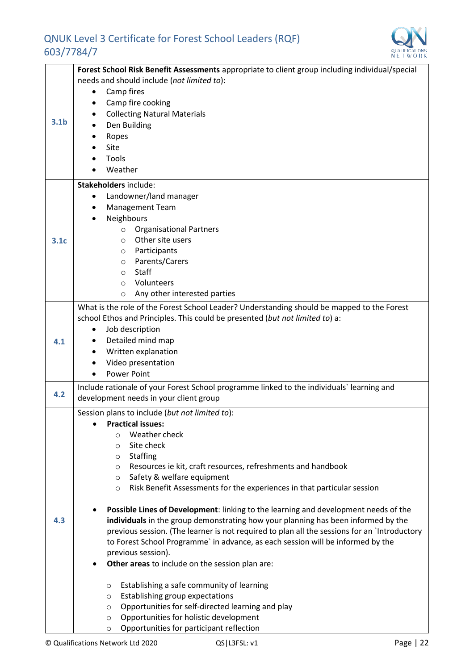

|                  | Forest School Risk Benefit Assessments appropriate to client group including individual/special |
|------------------|-------------------------------------------------------------------------------------------------|
| 3.1 <sub>b</sub> | needs and should include (not limited to):                                                      |
|                  | Camp fires<br>٠                                                                                 |
|                  | Camp fire cooking                                                                               |
|                  |                                                                                                 |
|                  | <b>Collecting Natural Materials</b>                                                             |
|                  | Den Building                                                                                    |
|                  | Ropes                                                                                           |
|                  | Site                                                                                            |
|                  | Tools                                                                                           |
|                  |                                                                                                 |
|                  | Weather                                                                                         |
|                  | <b>Stakeholders include:</b>                                                                    |
|                  | Landowner/land manager<br>٠                                                                     |
|                  | Management Team                                                                                 |
|                  |                                                                                                 |
|                  | Neighbours                                                                                      |
|                  | <b>Organisational Partners</b><br>$\circ$                                                       |
| 3.1 <sub>c</sub> | Other site users<br>$\circ$                                                                     |
|                  | Participants<br>$\circ$                                                                         |
|                  | Parents/Carers                                                                                  |
|                  | $\circ$                                                                                         |
|                  | <b>Staff</b><br>$\circ$                                                                         |
|                  | Volunteers<br>$\circ$                                                                           |
|                  | Any other interested parties<br>$\circ$                                                         |
|                  | What is the role of the Forest School Leader? Understanding should be mapped to the Forest      |
|                  | school Ethos and Principles. This could be presented (but not limited to) a:                    |
|                  |                                                                                                 |
|                  | Job description<br>$\bullet$                                                                    |
| 4.1              | Detailed mind map                                                                               |
|                  | Written explanation                                                                             |
|                  | Video presentation                                                                              |
|                  | <b>Power Point</b>                                                                              |
|                  | Include rationale of your Forest School programme linked to the individuals' learning and       |
| 4.2              | development needs in your client group                                                          |
|                  |                                                                                                 |
|                  | Session plans to include (but not limited to):                                                  |
|                  | <b>Practical issues:</b>                                                                        |
|                  | Weather check<br>$\Omega$                                                                       |
|                  | Site check<br>$\circ$                                                                           |
|                  | <b>Staffing</b><br>$\circ$                                                                      |
|                  | Resources ie kit, craft resources, refreshments and handbook<br>$\circ$                         |
|                  | Safety & welfare equipment                                                                      |
|                  | $\circ$                                                                                         |
|                  | Risk Benefit Assessments for the experiences in that particular session<br>$\circ$              |
|                  | Possible Lines of Development: linking to the learning and development needs of the             |
|                  |                                                                                                 |
| 4.3              | individuals in the group demonstrating how your planning has been informed by the               |
|                  | previous session. (The learner is not required to plan all the sessions for an `Introductory    |
|                  | to Forest School Programme` in advance, as each session will be informed by the                 |
|                  | previous session).                                                                              |
|                  | Other areas to include on the session plan are:                                                 |
|                  |                                                                                                 |
|                  | Establishing a safe community of learning<br>$\circ$                                            |
|                  | Establishing group expectations<br>$\circ$                                                      |
|                  | Opportunities for self-directed learning and play<br>O                                          |
|                  | Opportunities for holistic development<br>$\circ$                                               |
|                  | Opportunities for participant reflection<br>O                                                   |
|                  |                                                                                                 |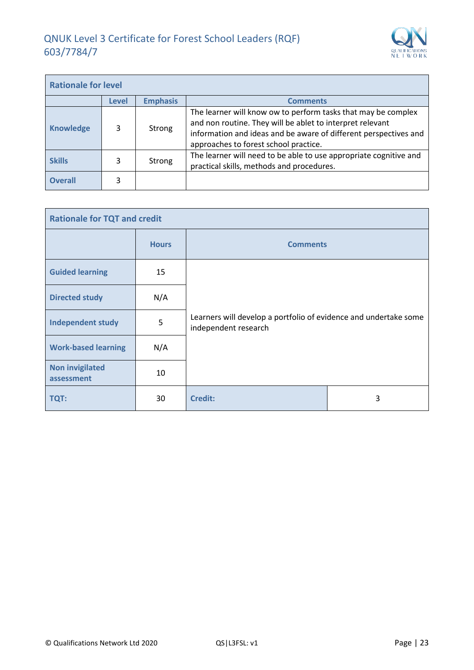

| <b>Rationale for level</b> |       |                 |                                                                                                                                                                                                                                         |  |
|----------------------------|-------|-----------------|-----------------------------------------------------------------------------------------------------------------------------------------------------------------------------------------------------------------------------------------|--|
|                            | Level | <b>Emphasis</b> | <b>Comments</b>                                                                                                                                                                                                                         |  |
| <b>Knowledge</b>           | 3     | Strong          | The learner will know ow to perform tasks that may be complex<br>and non routine. They will be ablet to interpret relevant<br>information and ideas and be aware of different perspectives and<br>approaches to forest school practice. |  |
| <b>Skills</b>              | 3     | Strong          | The learner will need to be able to use appropriate cognitive and<br>practical skills, methods and procedures.                                                                                                                          |  |
| <b>Overall</b>             | 3     |                 |                                                                                                                                                                                                                                         |  |

| <b>Rationale for TQT and credit</b>  |              |                                                                                          |   |  |
|--------------------------------------|--------------|------------------------------------------------------------------------------------------|---|--|
|                                      | <b>Hours</b> | <b>Comments</b>                                                                          |   |  |
| <b>Guided learning</b>               | 15           | Learners will develop a portfolio of evidence and undertake some<br>independent research |   |  |
| <b>Directed study</b>                | N/A          |                                                                                          |   |  |
| <b>Independent study</b>             | 5            |                                                                                          |   |  |
| <b>Work-based learning</b>           | N/A          |                                                                                          |   |  |
| <b>Non invigilated</b><br>assessment | 10           |                                                                                          |   |  |
| <b>TQT:</b>                          | 30           | <b>Credit:</b>                                                                           | 3 |  |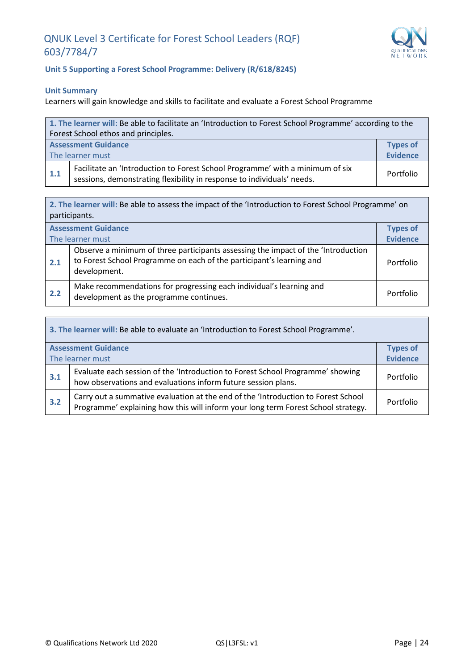

h

#### **Unit 5 Supporting a Forest School Programme: Delivery (R/618/8245)**

#### **Unit Summary**

 $\mathbf{r}$ 

Learners will gain knowledge and skills to facilitate and evaluate a Forest School Programme

| 1. The learner will: Be able to facilitate an 'Introduction to Forest School Programme' according to the |                                                                                                                                                         |           |  |
|----------------------------------------------------------------------------------------------------------|---------------------------------------------------------------------------------------------------------------------------------------------------------|-----------|--|
| Forest School ethos and principles.                                                                      |                                                                                                                                                         |           |  |
|                                                                                                          | <b>Types of</b><br><b>Assessment Guidance</b><br><b>Evidence</b>                                                                                        |           |  |
| The learner must                                                                                         |                                                                                                                                                         |           |  |
| 1.1                                                                                                      | Facilitate an 'Introduction to Forest School Programme' with a minimum of six<br>sessions, demonstrating flexibility in response to individuals' needs. | Portfolio |  |

**2. The learner will:** Be able to assess the impact of the 'Introduction to Forest School Programme' on participants.

| <b>Assessment Guidance</b><br>The learner must |                                                                                                                                                                           |           |
|------------------------------------------------|---------------------------------------------------------------------------------------------------------------------------------------------------------------------------|-----------|
| 2.1                                            | Observe a minimum of three participants assessing the impact of the 'Introduction<br>to Forest School Programme on each of the participant's learning and<br>development. | Portfolio |
| 2.2                                            | Make recommendations for progressing each individual's learning and<br>development as the programme continues.                                                            | Portfolio |

| 3. The learner will: Be able to evaluate an 'Introduction to Forest School Programme'. |                                                                                                                                                                        |           |  |  |
|----------------------------------------------------------------------------------------|------------------------------------------------------------------------------------------------------------------------------------------------------------------------|-----------|--|--|
|                                                                                        | <b>Assessment Guidance</b><br><b>Types of</b>                                                                                                                          |           |  |  |
| The learner must                                                                       |                                                                                                                                                                        |           |  |  |
| 3.1                                                                                    | Evaluate each session of the 'Introduction to Forest School Programme' showing<br>how observations and evaluations inform future session plans.                        | Portfolio |  |  |
| 3.2                                                                                    | Carry out a summative evaluation at the end of the 'Introduction to Forest School<br>Programme' explaining how this will inform your long term Forest School strategy. | Portfolio |  |  |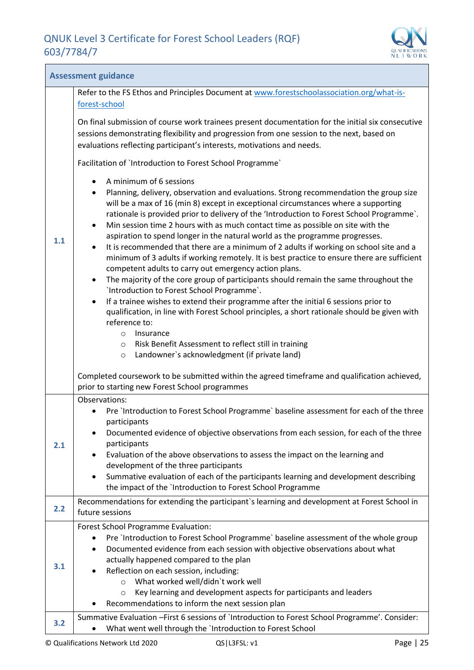<u> Tanzania (h. 1878).</u>



| <b>Assessment guidance</b> |                                                                                                                                                                                                                                                                                                                                                                                                                                                                                                                                                                                                                                                                                                                                                                                                                                                                                                                                                                                                                                                                                                                                     |  |  |  |  |
|----------------------------|-------------------------------------------------------------------------------------------------------------------------------------------------------------------------------------------------------------------------------------------------------------------------------------------------------------------------------------------------------------------------------------------------------------------------------------------------------------------------------------------------------------------------------------------------------------------------------------------------------------------------------------------------------------------------------------------------------------------------------------------------------------------------------------------------------------------------------------------------------------------------------------------------------------------------------------------------------------------------------------------------------------------------------------------------------------------------------------------------------------------------------------|--|--|--|--|
|                            | Refer to the FS Ethos and Principles Document at www.forestschoolassociation.org/what-is-<br>forest-school                                                                                                                                                                                                                                                                                                                                                                                                                                                                                                                                                                                                                                                                                                                                                                                                                                                                                                                                                                                                                          |  |  |  |  |
|                            | On final submission of course work trainees present documentation for the initial six consecutive<br>sessions demonstrating flexibility and progression from one session to the next, based on<br>evaluations reflecting participant's interests, motivations and needs.                                                                                                                                                                                                                                                                                                                                                                                                                                                                                                                                                                                                                                                                                                                                                                                                                                                            |  |  |  |  |
|                            | Facilitation of `Introduction to Forest School Programme`                                                                                                                                                                                                                                                                                                                                                                                                                                                                                                                                                                                                                                                                                                                                                                                                                                                                                                                                                                                                                                                                           |  |  |  |  |
| 1.1                        | A minimum of 6 sessions<br>$\bullet$<br>Planning, delivery, observation and evaluations. Strong recommendation the group size<br>$\bullet$<br>will be a max of 16 (min 8) except in exceptional circumstances where a supporting<br>rationale is provided prior to delivery of the 'Introduction to Forest School Programme'.<br>Min session time 2 hours with as much contact time as possible on site with the<br>$\bullet$<br>aspiration to spend longer in the natural world as the programme progresses.<br>It is recommended that there are a minimum of 2 adults if working on school site and a<br>$\bullet$<br>minimum of 3 adults if working remotely. It is best practice to ensure there are sufficient<br>competent adults to carry out emergency action plans.<br>The majority of the core group of participants should remain the same throughout the<br>$\bullet$<br>'Introduction to Forest School Programme'.<br>If a trainee wishes to extend their programme after the initial 6 sessions prior to<br>$\bullet$<br>qualification, in line with Forest School principles, a short rationale should be given with |  |  |  |  |
|                            | reference to:<br>Insurance<br>$\circ$<br>Risk Benefit Assessment to reflect still in training<br>$\circ$<br>Landowner's acknowledgment (if private land)<br>$\circ$                                                                                                                                                                                                                                                                                                                                                                                                                                                                                                                                                                                                                                                                                                                                                                                                                                                                                                                                                                 |  |  |  |  |
|                            | Completed coursework to be submitted within the agreed timeframe and qualification achieved,<br>prior to starting new Forest School programmes                                                                                                                                                                                                                                                                                                                                                                                                                                                                                                                                                                                                                                                                                                                                                                                                                                                                                                                                                                                      |  |  |  |  |
| 2.1                        | Observations:<br>Pre `Introduction to Forest School Programme` baseline assessment for each of the three<br>participants<br>Documented evidence of objective observations from each session, for each of the three<br>participants                                                                                                                                                                                                                                                                                                                                                                                                                                                                                                                                                                                                                                                                                                                                                                                                                                                                                                  |  |  |  |  |
|                            | Evaluation of the above observations to assess the impact on the learning and<br>development of the three participants<br>Summative evaluation of each of the participants learning and development describing<br>$\bullet$<br>the impact of the `Introduction to Forest School Programme                                                                                                                                                                                                                                                                                                                                                                                                                                                                                                                                                                                                                                                                                                                                                                                                                                           |  |  |  |  |
|                            | Recommendations for extending the participant's learning and development at Forest School in                                                                                                                                                                                                                                                                                                                                                                                                                                                                                                                                                                                                                                                                                                                                                                                                                                                                                                                                                                                                                                        |  |  |  |  |
| 2.2                        | future sessions                                                                                                                                                                                                                                                                                                                                                                                                                                                                                                                                                                                                                                                                                                                                                                                                                                                                                                                                                                                                                                                                                                                     |  |  |  |  |
| 3.1                        | <b>Forest School Programme Evaluation:</b><br>Pre `Introduction to Forest School Programme` baseline assessment of the whole group<br>٠<br>Documented evidence from each session with objective observations about what<br>$\bullet$<br>actually happened compared to the plan<br>Reflection on each session, including:<br>What worked well/didn't work well<br>$\circ$<br>Key learning and development aspects for participants and leaders<br>$\circ$<br>Recommendations to inform the next session plan                                                                                                                                                                                                                                                                                                                                                                                                                                                                                                                                                                                                                         |  |  |  |  |
| 3.2                        | Summative Evaluation - First 6 sessions of `Introduction to Forest School Programme'. Consider:<br>What went well through the `Introduction to Forest School                                                                                                                                                                                                                                                                                                                                                                                                                                                                                                                                                                                                                                                                                                                                                                                                                                                                                                                                                                        |  |  |  |  |